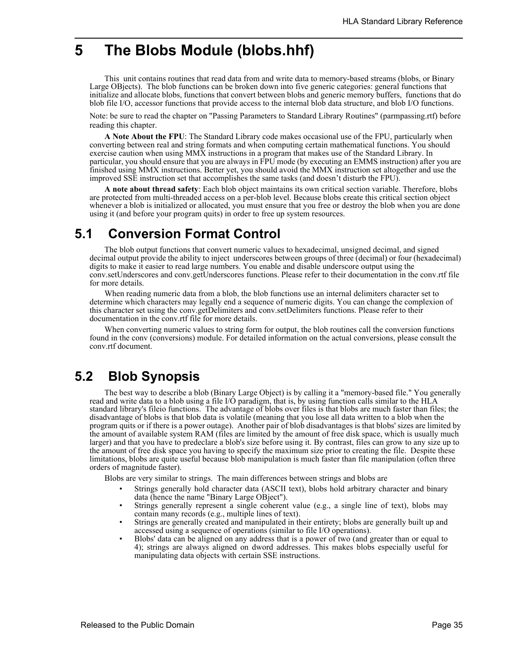## **5 The Blobs Module (blobs.hhf)**

This unit contains routines that read data from and write data to memory-based streams (blobs, or Binary Large OBjects). The blob functions can be broken down into five generic categories: general functions that initialize and allocate blobs, functions that convert between blobs and generic memory buffers, functions that do blob file I/O, accessor functions that provide access to the internal blob data structure, and blob I/O functions.

Note: be sure to read the chapter on "Passing Parameters to Standard Library Routines" (parmpassing.rtf) before reading this chapter.

**A Note About the FPU**: The Standard Library code makes occasional use of the FPU, particularly when converting between real and string formats and when computing certain mathematical functions. You should exercise caution when using MMX instructions in a program that makes use of the Standard Library. In particular, you should ensure that you are always in FPU mode (by executing an EMMS instruction) after you are finished using MMX instructions. Better yet, you should avoid the MMX instruction set altogether and use the improved SSE instruction set that accomplishes the same tasks (and doesn't disturb the FPU).

**A note about thread safety**: Each blob object maintains its own critical section variable. Therefore, blobs are protected from multi-threaded access on a per-blob level. Because blobs create this critical section object whenever a blob is initialized or allocated, you must ensure that you free or destroy the blob when you are done using it (and before your program quits) in order to free up system resources.

## **5.1 Conversion Format Control**

The blob output functions that convert numeric values to hexadecimal, unsigned decimal, and signed decimal output provide the ability to inject underscores between groups of three (decimal) or four (hexadecimal) digits to make it easier to read large numbers. You enable and disable underscore output using the conv.setUnderscores and conv.getUnderscores functions. Please refer to their documentation in the conv.rtf file for more details.

When reading numeric data from a blob, the blob functions use an internal delimiters character set to determine which characters may legally end a sequence of numeric digits. You can change the complexion of this character set using the conv.getDelimiters and conv.setDelimiters functions. Please refer to their documentation in the conv.rtf file for more details.

When converting numeric values to string form for output, the blob routines call the conversion functions found in the conv (conversions) module. For detailed information on the actual conversions, please consult the conv.rtf document.

## **5.2 Blob Synopsis**

The best way to describe a blob (Binary Large Object) is by calling it a "memory-based file." You generally read and write data to a blob using a file I/O paradigm, that is, by using function calls similar to the HLA standard library's fileio functions. The advantage of blobs over files is that blobs are much faster than files; the disadvantage of blobs is that blob data is volatile (meaning that you lose all data written to a blob when the program quits or if there is a power outage). Another pair of blob disadvantages is that blobs' sizes are limited by the amount of available system RAM (files are limited by the amount of free disk space, which is usually much larger) and that you have to predeclare a blob's size before using it. By contrast, files can grow to any size up to the amount of free disk space you having to specify the maximum size prior to creating the file. Despite these limitations, blobs are quite useful because blob manipulation is much faster than file manipulation (often three orders of magnitude faster).

Blobs are very similar to strings. The main differences between strings and blobs are

- Strings generally hold character data (ASCII text), blobs hold arbitrary character and binary data (hence the name "Binary Large OBject").
- Strings generally represent a single coherent value (e.g., a single line of text), blobs may contain many records (e.g., multiple lines of text).
- Strings are generally created and manipulated in their entirety; blobs are generally built up and accessed using a sequence of operations (similar to file I/O operations).
- Blobs' data can be aligned on any address that is a power of two (and greater than or equal to 4); strings are always aligned on dword addresses. This makes blobs especially useful for manipulating data objects with certain SSE instructions.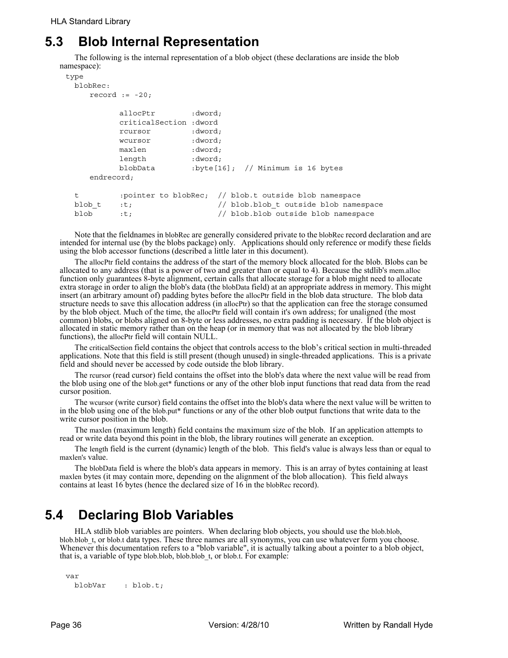# **5.3 Blob Internal Representation**

The following is the internal representation of a blob object (these declarations are inside the blob namespace):

```
type
 blobRec:
    record := -20;allocPtr : dword;
         criticalSection :dword
          rcursor :dword;
          wcursor :dword;
         maxlen :dword;
          length :dword;
         blobData :byte[16]; // Minimum is 16 bytes
    endrecord;
 t :pointer to blobRec; // blob.t outside blob namespace
 blob_t :t; \frac{1}{2} : \frac{1}{2} // blob.blob_t outside blob namespace
 blob :t; // blob.blob outside blob namespace
```
Note that the fieldnames in blobRec are generally considered private to the blobRec record declaration and are intended for internal use (by the blobs package) only. Applications should only reference or modify these fields using the blob accessor functions (described a little later in this document).

The allocPtr field contains the address of the start of the memory block allocated for the blob. Blobs can be allocated to any address (that is a power of two and greater than or equal to 4). Because the stdlib's mem.alloc function only guarantees 8-byte alignment, certain calls that allocate storage for a blob might need to allocate extra storage in order to align the blob's data (the blobData field) at an appropriate address in memory. This might insert (an arbitrary amount of) padding bytes before the allocPtr field in the blob data structure. The blob data structure needs to save this allocation address (in allocPtr) so that the application can free the storage consumed by the blob object. Much of the time, the allocPtr field will contain it's own address; for unaligned (the most common) blobs, or blobs aligned on 8-byte or less addresses, no extra padding is necessary. If the blob object is allocated in static memory rather than on the heap (or in memory that was not allocated by the blob library functions), the allocPtr field will contain NULL.

The criticalSection field contains the object that controls access to the blob's critical section in multi-threaded applications. Note that this field is still present (though unused) in single-threaded applications. This is a private field and should never be accessed by code outside the blob library.

The rcursor (read cursor) field contains the offset into the blob's data where the next value will be read from the blob using one of the blob.get\* functions or any of the other blob input functions that read data from the read cursor position.

The wcursor (write cursor) field contains the offset into the blob's data where the next value will be written to in the blob using one of the blob.put\* functions or any of the other blob output functions that write data to the write cursor position in the blob.

The maxlen (maximum length) field contains the maximum size of the blob. If an application attempts to read or write data beyond this point in the blob, the library routines will generate an exception.

The length field is the current (dynamic) length of the blob. This field's value is always less than or equal to maxlen's value.

The blobData field is where the blob's data appears in memory. This is an array of bytes containing at least maxlen bytes (it may contain more, depending on the alignment of the blob allocation). This field always contains at least 16 bytes (hence the declared size of 16 in the blobRec record).

# **5.4 Declaring Blob Variables**

HLA stdlib blob variables are pointers. When declaring blob objects, you should use the blob.blob, blob.blob\_t, or blob.t data types. These three names are all synonyms, you can use whatever form you choose. Whenever this documentation refers to a "blob variable", it is actually talking about a pointer to a blob object, that is, a variable of type blob.blob, blob.blob t, or blob.t. For example:

```
var
 blobVar : blob.t;
```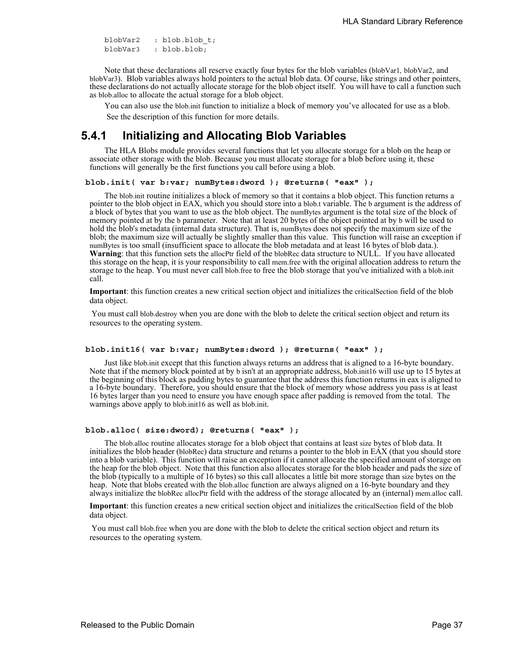blobVar2 : blob.blob\_t; blobVar3 : blob.blob;

Note that these declarations all reserve exactly four bytes for the blob variables (blobVar1*,* blobVar2, and blobVar3). Blob variables always hold pointers to the actual blob data. Of course, like strings and other pointers, these declarations do not actually allocate storage for the blob object itself. You will have to call a function such as blob.alloc to allocate the actual storage for a blob object.

You can also use the blob.init function to initialize a block of memory you've allocated for use as a blob. See the description of this function for more details.

## **5.4.1 Initializing and Allocating Blob Variables**

The HLA Blobs module provides several functions that let you allocate storage for a blob on the heap or associate other storage with the blob. Because you must allocate storage for a blob before using it, these functions will generally be the first functions you call before using a blob.

### **blob.init( var b:var; numBytes:dword ); @returns( "eax" );**

The blob.init routine initializes a block of memory so that it contains a blob object. This function returns a pointer to the blob object in EAX, which you should store into a blob.t variable. The b argument is the address of a block of bytes that you want to use as the blob object. The numBytes argument is the total size of the block of memory pointed at by the b parameter. Note that at least 20 bytes of the object pointed at by b will be used to hold the blob's metadata (internal data structure). That is, numBytes does not specify the maximum size of the blob; the maximum size will actually be slightly smaller than this value. This function will raise an exception if numBytes is too small (insufficient space to allocate the blob metadata and at least 16 bytes of blob data.). **Warning**: that this function sets the allocPtr field of the blobRec data structure to NULL. If you have allocated this storage on the heap, it is your responsibility to call mem.free with the original allocation address to return the storage to the heap. You must never call blob.free to free the blob storage that you've initialized with a blob.init call.

**Important**: this function creates a new critical section object and initializes the criticalSection field of the blob data object.

 You must call blob.destroy when you are done with the blob to delete the critical section object and return its resources to the operating system.

#### **blob.init16( var b:var; numBytes:dword ); @returns( "eax" );**

Just like blob.init except that this function always returns an address that is aligned to a 16-byte boundary. Note that if the memory block pointed at by b isn't at an appropriate address, blob.init16 will use up to 15 bytes at the beginning of this block as padding bytes to guarantee that the address this function returns in eax is aligned to a 16-byte boundary. Therefore, you should ensure that the block of memory whose address you pass is at least 16 bytes larger than you need to ensure you have enough space after padding is removed from the total. The warnings above apply to blob.init16 as well as blob.init.

#### **blob.alloc( size:dword); @returns( "eax" );**

The blob.alloc routine allocates storage for a blob object that contains at least size bytes of blob data. It initializes the blob header (blobRec) data structure and returns a pointer to the blob in EAX (that you should store into a blob variable). This function will raise an exception if it cannot allocate the specified amount of storage on the heap for the blob object. Note that this function also allocates storage for the blob header and pads the size of the blob (typically to a multiple of 16 bytes) so this call allocates a little bit more storage than size bytes on the heap. Note that blobs created with the blob.alloc function are always aligned on a 16-byte boundary and they always initialize the blobRec allocPtr field with the address of the storage allocated by an (internal) mem.alloc call.

**Important**: this function creates a new critical section object and initializes the criticalSection field of the blob data object.

 You must call blob.free when you are done with the blob to delete the critical section object and return its resources to the operating system.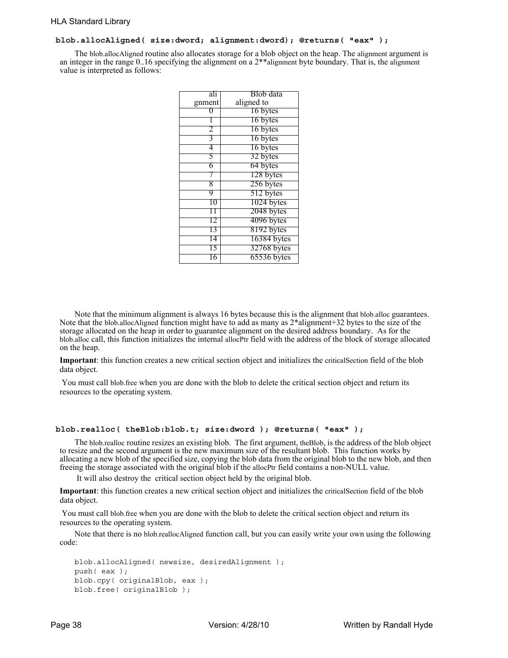## **blob.allocAligned( size:dword; alignment:dword); @returns( "eax" );**

The blob.allocAligned routine also allocates storage for a blob object on the heap. The alignment argument is an integer in the range 0..16 specifying the alignment on a 2\*\*alignment byte boundary. That is, the alignment value is interpreted as follows:

| ali    | Blob data   |
|--------|-------------|
| gnment | aligned to  |
|        | 16 bytes    |
|        | 16 bytes    |
|        | 16 bytes    |
| 3      | 16 bytes    |
| 4      | 16 bytes    |
| 5      | 32 bytes    |
| 6      | 64 bytes    |
|        | 128 bytes   |
| 8      | 256 bytes   |
| 9      | 512 bytes   |
| 10     | 1024 bytes  |
|        | 2048 bytes  |
| Γ2     | 4096 bytes  |
| 13     | 8192 bytes  |
| 14     | 16384 bytes |
| Γ5     | 32768 bytes |
| 16     | 65536 bytes |

Note that the minimum alignment is always 16 bytes because this is the alignment that blob.alloc guarantees. Note that the blob.allocAligned function might have to add as many as 2\*alignment+32 bytes to the size of the storage allocated on the heap in order to guarantee alignment on the desired address boundary. As for the blob.alloc call, this function initializes the internal allocPtr field with the address of the block of storage allocated on the heap.

**Important**: this function creates a new critical section object and initializes the criticalSection field of the blob data object.

 You must call blob.free when you are done with the blob to delete the critical section object and return its resources to the operating system.

#### **blob.realloc( theBlob:blob.t; size:dword ); @returns( "eax" );**

The blob.realloc routine resizes an existing blob. The first argument, theBlob, is the address of the blob object to resize and the second argument is the new maximum size of the resultant blob. This function works by allocating a new blob of the specified size, copying the blob data from the original blob to the new blob, and then freeing the storage associated with the original blob if the allocPtr field contains a non-NULL value.

It will also destroy the critical section object held by the original blob.

**Important**: this function creates a new critical section object and initializes the criticalSection field of the blob data object.

 You must call blob.free when you are done with the blob to delete the critical section object and return its resources to the operating system.

Note that there is no blob.reallocAligned function call, but you can easily write your own using the following code:

```
blob.allocAligned( newsize, desiredAlignment );
push( eax );
blob.cpy( originalBlob, eax );
blob.free( originalBlob );
```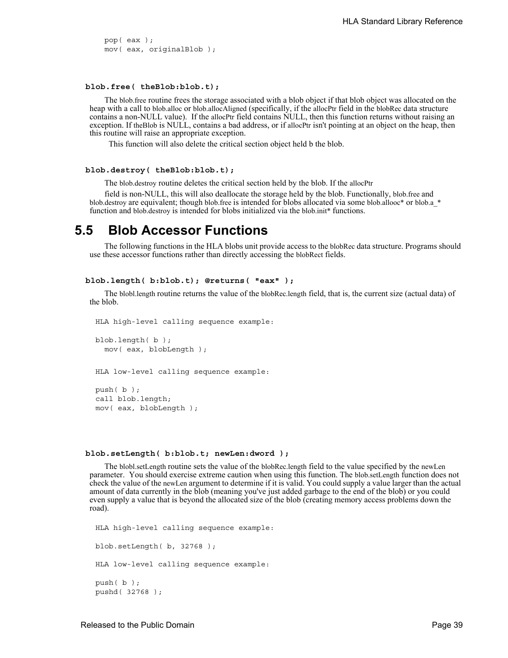pop( eax ); mov( eax, originalBlob );

#### **blob.free( theBlob:blob.t);**

The blob.free routine frees the storage associated with a blob object if that blob object was allocated on the heap with a call to blob.alloc or blob.allocAligned (specifically, if the allocPtr field in the blobRec data structure contains a non-NULL value). If the allocPtr field contains NULL, then this function returns without raising an exception. If the Blob is NULL, contains a bad address, or if allocPtr isn't pointing at an object on the heap, then this routine will raise an appropriate exception.

This function will also delete the critical section object held b the blob.

#### **blob.destroy( theBlob:blob.t);**

The blob.destroy routine deletes the critical section held by the blob. If the allocPtr

field is non-NULL, this will also deallocate the storage held by the blob. Functionally, blob.free and blob.destroy are equivalent; though blob.free is intended for blobs allocated via some blob.allooc\* or blob.a<sup>\*</sup> function and blob.destroy is intended for blobs initialized via the blob.init\* functions.

## **5.5 Blob Accessor Functions**

The following functions in the HLA blobs unit provide access to the blobRec data structure. Programs should use these accessor functions rather than directly accessing the blobRect fields.

#### **blob.length( b:blob.t); @returns( "eax" );**

The blobl.length routine returns the value of the blobRec.length field, that is, the current size (actual data) of the blob.

HLA high-level calling sequence example:

blob.length( b ); mov( eax, blobLength );

HLA low-level calling sequence example:

push( b ); call blob.length; mov( eax, blobLength );

#### **blob.setLength( b:blob.t; newLen:dword );**

The blobl.setLength routine sets the value of the blobRec.length field to the value specified by the newLen parameter. You should exercise extreme caution when using this function. The blob.setLength function does not check the value of the newLen argument to determine if it is valid. You could supply a value larger than the actual amount of data currently in the blob (meaning you've just added garbage to the end of the blob) or you could even supply a value that is beyond the allocated size of the blob (creating memory access problems down the road).

HLA high-level calling sequence example: blob.setLength( b, 32768 ); HLA low-level calling sequence example: push( b ); pushd( 32768 );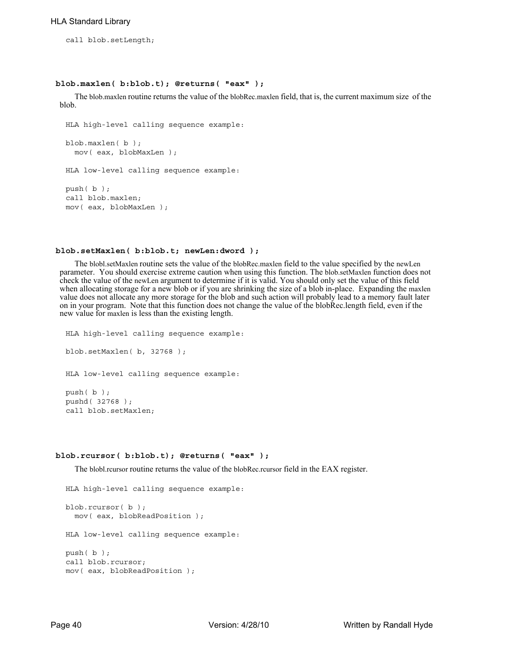call blob.setLength;

#### **blob.maxlen( b:blob.t); @returns( "eax" );**

The blob.maxlen routine returns the value of the blobRec.maxlen field, that is, the current maximum size of the blob.

```
HLA high-level calling sequence example:
blob.maxlen( b );
  mov( eax, blobMaxLen );
HLA low-level calling sequence example:
push( b );
call blob.maxlen;
mov( eax, blobMaxLen );
```
## **blob.setMaxlen( b:blob.t; newLen:dword );**

The blobl.setMaxlen routine sets the value of the blobRec.maxlen field to the value specified by the newLen parameter. You should exercise extreme caution when using this function. The blob.setMaxlen function does not check the value of the newLen argument to determine if it is valid. You should only set the value of this field when allocating storage for a new blob or if you are shrinking the size of a blob in-place. Expanding the maxlen value does not allocate any more storage for the blob and such action will probably lead to a memory fault later on in your program. Note that this function does not change the value of the blobRec.length field, even if the new value for maxlen is less than the existing length.

```
HLA high-level calling sequence example:
blob.setMaxlen( b, 32768 );
HLA low-level calling sequence example:
push( b );
pushd( 32768 );
call blob.setMaxlen;
```
### **blob.rcursor( b:blob.t); @returns( "eax" );**

The blobl.rcursor routine returns the value of the blobRec.rcursor field in the EAX register.

```
HLA high-level calling sequence example:
blob.rcursor( b );
  mov( eax, blobReadPosition );
HLA low-level calling sequence example:
push( b );
call blob.rcursor;
mov( eax, blobReadPosition );
```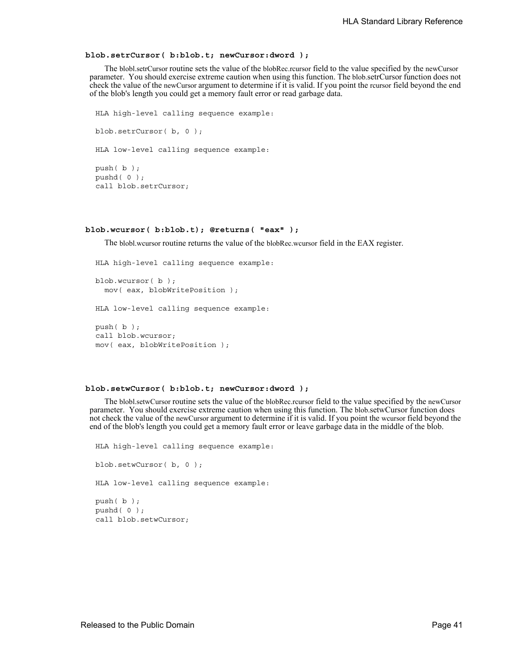### **blob.setrCursor( b:blob.t; newCursor:dword );**

The blobl.setrCursor routine sets the value of the blobRec.rcursor field to the value specified by the newCursor parameter. You should exercise extreme caution when using this function. The blob.setrCursor function does not check the value of the newCursor argument to determine if it is valid. If you point the rcursor field beyond the end of the blob's length you could get a memory fault error or read garbage data.

```
HLA high-level calling sequence example:
blob.setrCursor( b, 0 );
HLA low-level calling sequence example:
push( b );
pushd( 0 );
call blob.setrCursor;
```
#### **blob.wcursor( b:blob.t); @returns( "eax" );**

The blobl.wcursor routine returns the value of the blobRec.wcursor field in the EAX register.

```
HLA high-level calling sequence example:
blob.wcursor( b );
 mov( eax, blobWritePosition );
HLA low-level calling sequence example:
push( b );
call blob.wcursor;
mov( eax, blobWritePosition );
```
## **blob.setwCursor( b:blob.t; newCursor:dword );**

The blobl.setwCursor routine sets the value of the blobRec.rcursor field to the value specified by the newCursor parameter. You should exercise extreme caution when using this function. The blob.setwCursor function does not check the value of the newCursor argument to determine if it is valid. If you point the wcursor field beyond the end of the blob's length you could get a memory fault error or leave garbage data in the middle of the blob.

```
HLA high-level calling sequence example:
blob.setwCursor( b, 0 );
HLA low-level calling sequence example:
push( b );
pushd( 0 );
call blob.setwCursor;
```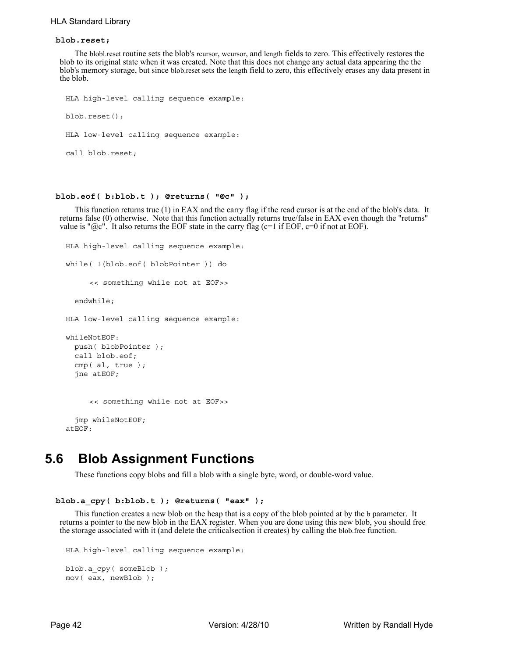## HLA Standard Library

### **blob.reset;**

The blobl.reset routine sets the blob's rcursor, wcursor, and length fields to zero. This effectively restores the blob to its original state when it was created. Note that this does not change any actual data appearing the the blob's memory storage, but since blob.reset sets the length field to zero, this effectively erases any data present in the blob.

```
HLA high-level calling sequence example:
blob.reset();
HLA low-level calling sequence example:
call blob.reset;
```
## **blob.eof( b:blob.t ); @returns( "@c" );**

This function returns true (1) in EAX and the carry flag if the read cursor is at the end of the blob's data. It returns false (0) otherwise. Note that this function actually returns true/false in EAX even though the "returns" value is " $@c$ ". It also returns the EOF state in the carry flag ( $c=1$  if EOF,  $c=0$  if not at EOF).

```
HLA high-level calling sequence example:
while( !(blob.eof( blobPointer )) do
     << something while not at EOF>>
  endwhile;
HLA low-level calling sequence example:
whileNotEOF:
  push( blobPointer );
  call blob.eof;
  cmp( al, true );
  jne atEOF;
     << something while not at EOF>>
  jmp whileNotEOF;
atEOF:
```
## **5.6 Blob Assignment Functions**

These functions copy blobs and fill a blob with a single byte, word, or double-word value.

```
 blob.a_cpy( b:blob.t ); @returns( "eax" );
```
This function creates a new blob on the heap that is a copy of the blob pointed at by the b parameter. It returns a pointer to the new blob in the EAX register. When you are done using this new blob, you should free the storage associated with it (and delete the criticalsection it creates) by calling the blob.free function.

```
HLA high-level calling sequence example:
blob.a cpy( someBlob );
mov( eax, newBlob );
```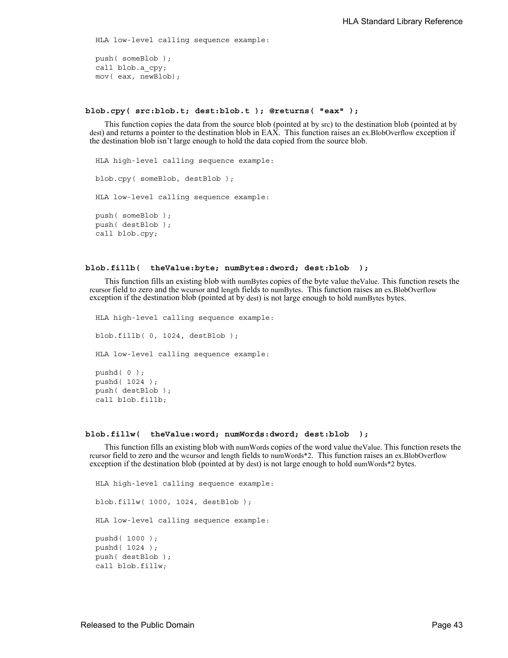HLA low-level calling sequence example:

push( someBlob ); call blob.a\_cpy; mov( eax, newBlob);

## **blob.cpy( src:blob.t; dest:blob.t ); @returns( "eax" );**

This function copies the data from the source blob (pointed at by src) to the destination blob (pointed at by dest) and returns a pointer to the destination blob in EAX. This function raises an ex.BlobOverflow exception if the destination blob isn't large enough to hold the data copied from the source blob.

```
HLA high-level calling sequence example:
blob.cpy( someBlob, destBlob );
HLA low-level calling sequence example:
push( someBlob );
push( destBlob );
call blob.cpy;
```
#### **blob.fillb( theValue:byte; numBytes:dword; dest:blob );**

This function fills an existing blob with numBytes copies of the byte value theValue. This function resets the rcursor field to zero and the wcursor and length fields to numBytes. This function raises an ex.BlobOverflow exception if the destination blob (pointed at by dest) is not large enough to hold numBytes bytes.

HLA high-level calling sequence example: blob.fillb( 0, 1024, destBlob ); HLA low-level calling sequence example: pushd( 0 ); pushd( 1024 ); push( destBlob ); call blob.fillb;

### **blob.fillw( theValue:word; numWords:dword; dest:blob );**

This function fills an existing blob with numWords copies of the word value theValue. This function resets the rcursor field to zero and the wcursor and length fields to numWords\*2. This function raises an ex.BlobOverflow exception if the destination blob (pointed at by dest) is not large enough to hold numWords\*2 bytes.

HLA high-level calling sequence example: blob.fillw( 1000, 1024, destBlob ); HLA low-level calling sequence example: pushd( 1000 ); pushd( 1024 ); push( destBlob ); call blob.fillw;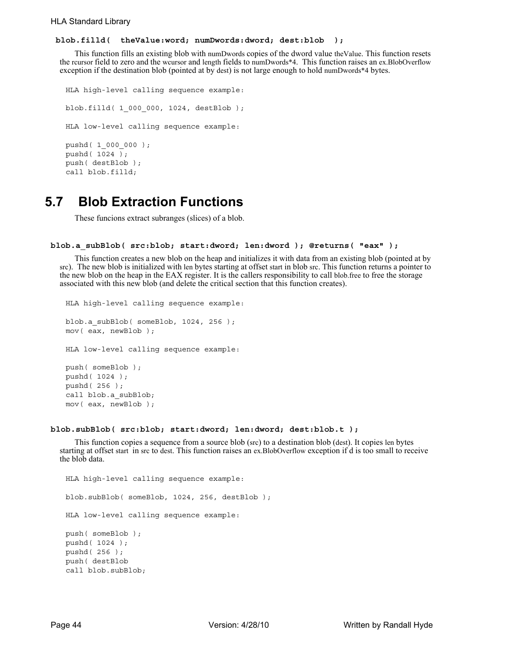## **blob.filld( theValue:word; numDwords:dword; dest:blob );**

This function fills an existing blob with numDwords copies of the dword value theValue. This function resets the rcursor field to zero and the wcursor and length fields to numDwords\*4. This function raises an ex.BlobOverflow exception if the destination blob (pointed at by dest) is not large enough to hold numDwords\*4 bytes.

```
HLA high-level calling sequence example:
blob.filld( 1_000_000, 1024, destBlob );
HLA low-level calling sequence example:
pushd( 1_000_000 );
pushd( 1024 );
push( destBlob );
call blob.filld;
```
# **5.7 Blob Extraction Functions**

These funcions extract subranges (slices) of a blob.

### **blob.a\_subBlob( src:blob; start:dword; len:dword ); @returns( "eax" );**

This function creates a new blob on the heap and initializes it with data from an existing blob (pointed at by src). The new blob is initialized with len bytes starting at offset start in blob src. This function returns a pointer to the new blob on the heap in the EAX register. It is the callers responsibility to call blob.free to free the storage associated with this new blob (and delete the critical section that this function creates).

```
HLA high-level calling sequence example:
blob.a subBlob( someBlob, 1024, 256 );
mov( eax, newBlob );
HLA low-level calling sequence example:
push( someBlob );
pushd( 1024 );
pushd( 256 );
call blob.a_subBlob;
mov( eax, newBlob );
```
#### **blob.subBlob( src:blob; start:dword; len:dword; dest:blob.t );**

This function copies a sequence from a source blob (src) to a destination blob (dest). It copies len bytes starting at offset start in src to dest. This function raises an ex.BlobOverflow exception if d is too small to receive the blob data.

```
HLA high-level calling sequence example:
blob.subBlob( someBlob, 1024, 256, destBlob );
HLA low-level calling sequence example:
push( someBlob );
pushd( 1024 );
pushd( 256 );
push( destBlob
call blob.subBlob;
```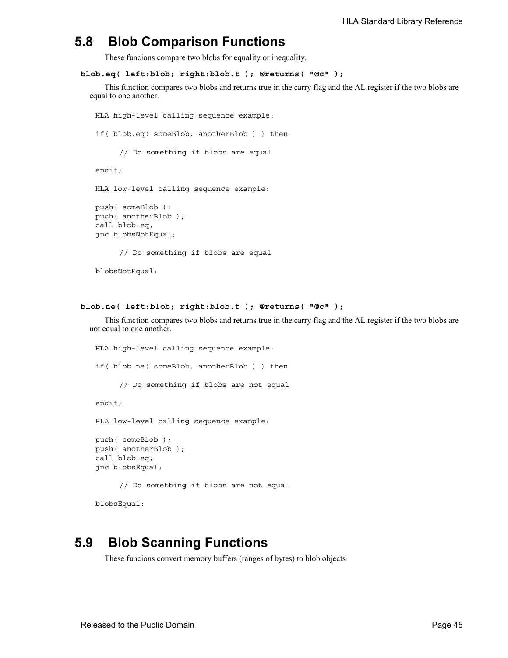## **5.8 Blob Comparison Functions**

These funcions compare two blobs for equality or inequality.

```
blob.eq( left:blob; right:blob.t ); @returns( "@c" );
```
This function compares two blobs and returns true in the carry flag and the AL register if the two blobs are equal to one another.

```
HLA high-level calling sequence example:
if( blob.eq( someBlob, anotherBlob ) ) then
     // Do something if blobs are equal
endif;
HLA low-level calling sequence example:
push( someBlob );
push( anotherBlob );
call blob.eq;
jnc blobsNotEqual;
     // Do something if blobs are equal
```

```
blobsNotEqual:
```

```
blob.ne( left:blob; right:blob.t ); @returns( "@c" );
```
This function compares two blobs and returns true in the carry flag and the AL register if the two blobs are not equal to one another.

```
HLA high-level calling sequence example:
if( blob.ne( someBlob, anotherBlob ) ) then
     // Do something if blobs are not equal
endif;
HLA low-level calling sequence example:
push( someBlob );
push( anotherBlob );
call blob.eq;
jnc blobsEqual;
     // Do something if blobs are not equal
```
blobsEqual:

## **5.9 Blob Scanning Functions**

These funcions convert memory buffers (ranges of bytes) to blob objects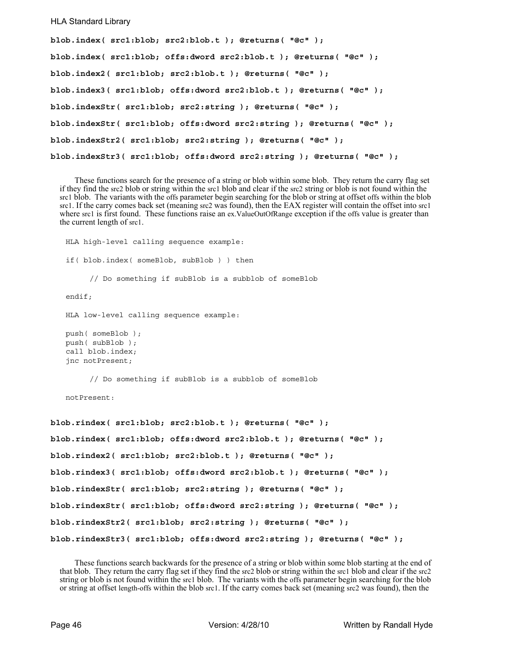### HLA Standard Library

```
blob.index( src1:blob; src2:blob.t ); @returns( "@c" );
blob.index( src1:blob; offs:dword src2:blob.t ); @returns( "@c" );
blob.index2( src1:blob; src2:blob.t ); @returns( "@c" );
blob.index3( src1:blob; offs:dword src2:blob.t ); @returns( "@c" );
blob.indexStr( src1:blob; src2:string ); @returns( "@c" );
blob.indexStr( src1:blob; offs:dword src2:string ); @returns( "@c" );
blob.indexStr2( src1:blob; src2:string ); @returns( "@c" );
blob.indexStr3( src1:blob; offs:dword src2:string ); @returns( "@c" );
```
These functions search for the presence of a string or blob within some blob. They return the carry flag set if they find the src2 blob or string within the src1 blob and clear if the src2 string or blob is not found within the src1 blob. The variants with the offs parameter begin searching for the blob or string at offset offs within the blob src1. If the carry comes back set (meaning src2 was found), then the EAX register will contain the offset into src1 where src1 is first found. These functions raise an ex.ValueOutOfRange exception if the offs value is greater than the current length of src1.

```
HLA high-level calling sequence example:
   if( blob.index( someBlob, subBlob ) ) then
        // Do something if subBlob is a subblob of someBlob
   endif;
   HLA low-level calling sequence example:
   push( someBlob );
   push( subBlob );
   call blob.index;
   jnc notPresent;
        // Do something if subBlob is a subblob of someBlob
   notPresent:
blob.rindex( src1:blob; src2:blob.t ); @returns( "@c" );
blob.rindex( src1:blob; offs:dword src2:blob.t ); @returns( "@c" );
blob.rindex2( src1:blob; src2:blob.t ); @returns( "@c" );
blob.rindex3( src1:blob; offs:dword src2:blob.t ); @returns( "@c" );
blob.rindexStr( src1:blob; src2:string ); @returns( "@c" );
blob.rindexStr( src1:blob; offs:dword src2:string ); @returns( "@c" );
blob.rindexStr2( src1:blob; src2:string ); @returns( "@c" );
blob.rindexStr3( src1:blob; offs:dword src2:string ); @returns( "@c" );
```
These functions search backwards for the presence of a string or blob within some blob starting at the end of that blob. They return the carry flag set if they find the src2 blob or string within the src1 blob and clear if the src2 string or blob is not found within the src1 blob. The variants with the offs parameter begin searching for the blob or string at offset length-offs within the blob src1. If the carry comes back set (meaning src2 was found), then the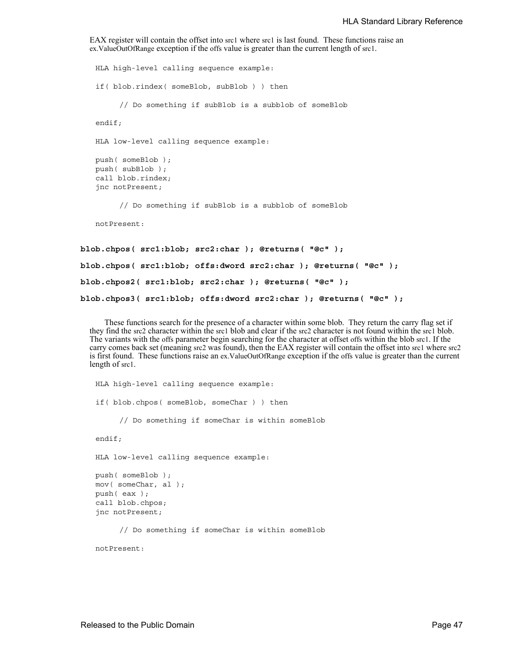```
EAX register will contain the offset into src1 where src1 is last found. These functions raise an 
ex.ValueOutOfRange exception if the offs value is greater than the current length of src1.
```

```
HLA high-level calling sequence example:
   if( blob.rindex( someBlob, subBlob ) ) then
        // Do something if subBlob is a subblob of someBlob
   endif;
   HLA low-level calling sequence example:
   push( someBlob );
   push( subBlob );
   call blob.rindex;
   jnc notPresent;
        // Do something if subBlob is a subblob of someBlob
   notPresent:
blob.chpos( src1:blob; src2:char ); @returns( "@c" );
blob.chpos( src1:blob; offs:dword src2:char ); @returns( "@c" );
blob.chpos2( src1:blob; src2:char ); @returns( "@c" );
```

```
blob.chpos3( src1:blob; offs:dword src2:char ); @returns( "@c" );
```
These functions search for the presence of a character within some blob. They return the carry flag set if they find the src2 character within the src1 blob and clear if the src2 character is not found within the src1 blob. The variants with the offs parameter begin searching for the character at offset offs within the blob src1. If the carry comes back set (meaning src2 was found), then the EAX register will contain the offset into src1 where src2 is first found. These functions raise an ex.ValueOutOfRange exception if the offs value is greater than the current length of src1.

```
HLA high-level calling sequence example:
if( blob.chpos( someBlob, someChar ) ) then
     // Do something if someChar is within someBlob
endif;
HLA low-level calling sequence example:
push( someBlob );
mov( someChar, al );
push( eax );
call blob.chpos;
jnc notPresent;
     // Do something if someChar is within someBlob
```
notPresent: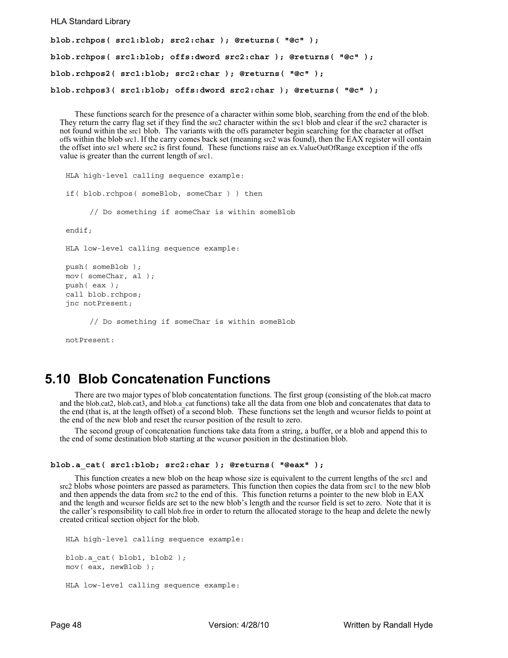#### HLA Standard Library

```
blob.rchpos( src1:blob; src2:char ); @returns( "@c" );
blob.rchpos( src1:blob; offs:dword src2:char ); @returns( "@c" );
blob.rchpos2( src1:blob; src2:char ); @returns( "@c" );
blob.rchpos3( src1:blob; offs:dword src2:char ); @returns( "@c" );
```
These functions search for the presence of a character within some blob, searching from the end of the blob. They return the carry flag set if they find the src2 character within the src1 blob and clear if the src2 character is not found within the src1 blob. The variants with the offs parameter begin searching for the character at offset offs within the blob src1. If the carry comes back set (meaning src2 was found), then the EAX register will contain the offset into src1 where src2 is first found. These functions raise an ex.ValueOutOfRange exception if the offs value is greater than the current length of src1.

```
HLA high-level calling sequence example:
if( blob.rchpos( someBlob, someChar ) ) then
     // Do something if someChar is within someBlob
endif;
HLA low-level calling sequence example:
push( someBlob );
mov( someChar, al );
push( eax );
call blob.rchpos;
jnc notPresent;
     // Do something if someChar is within someBlob
```
notPresent:

## **5.10 Blob Concatenation Functions**

There are two major types of blob concatentation functions. The first group (consisting of the blob.cat macro and the blob.cat2, blob.cat3, and blob.a cat functions) take all the data from one blob and concatenates that data to the end (that is, at the length offset) of a second blob. These functions set the length and wcursor fields to point at the end of the new blob and reset the rcursor position of the result to zero.

The second group of concatenation functions take data from a string, a buffer, or a blob and append this to the end of some destination blob starting at the wcursor position in the destination blob.

```
blob.a_cat( src1:blob; src2:char ); @returns( "@eax" );
```
This function creates a new blob on the heap whose size is equivalent to the current lengths of the src1 and src2 blobs whose pointers are passed as parameters. This function then copies the data from src1 to the new blob and then appends the data from src2 to the end of this. This function returns a pointer to the new blob in EAX and the length and wcursor fields are set to the new blob's length and the rcursor field is set to zero. Note that it is the caller's responsibility to call blob.free in order to return the allocated storage to the heap and delete the newly created critical section object for the blob.

```
HLA high-level calling sequence example:
blob.a_cat( blob1, blob2 );
mov( eax, newBlob );
HLA low-level calling sequence example:
```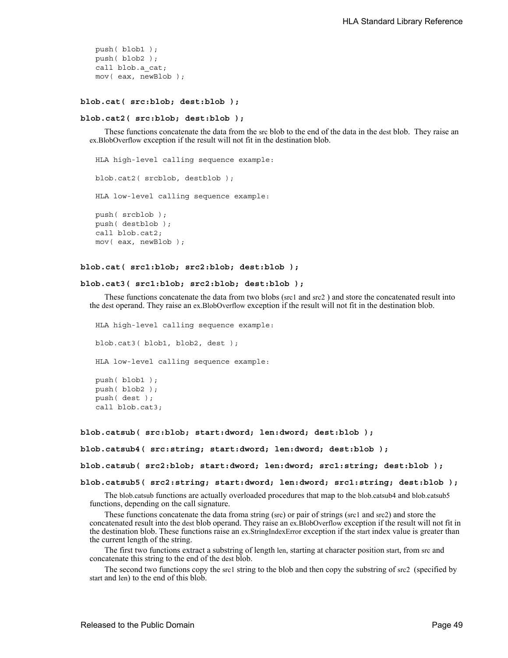```
push( blob1 );
push( blob2 );
call blob.a_cat;
mov( eax, newBlob );
```
#### **blob.cat( src:blob; dest:blob );**

#### **blob.cat2( src:blob; dest:blob );**

These functions concatenate the data from the src blob to the end of the data in the dest blob. They raise an ex.BlobOverflow exception if the result will not fit in the destination blob.

```
HLA high-level calling sequence example:
blob.cat2( srcblob, destblob );
HLA low-level calling sequence example:
push( srcblob );
push( destblob );
call blob.cat2;
mov( eax, newBlob );
```
#### **blob.cat( src1:blob; src2:blob; dest:blob );**

#### **blob.cat3( src1:blob; src2:blob; dest:blob );**

These functions concatenate the data from two blobs (src1 and src2 ) and store the concatenated result into the dest operand. They raise an ex.BlobOverflow exception if the result will not fit in the destination blob.

HLA high-level calling sequence example:

blob.cat3( blob1, blob2, dest );

HLA low-level calling sequence example:

```
push( blob1 );
push( blob2 );
push( dest );
call blob.cat3;
```

```
blob.catsub( src:blob; start:dword; len:dword; dest:blob );
```

```
blob.catsub4( src:string; start:dword; len:dword; dest:blob );
```
**blob.catsub( src2:blob; start:dword; len:dword; src1:string; dest:blob );**

#### **blob.catsub5( src2:string; start:dword; len:dword; src1:string; dest:blob );**

The blob.catsub functions are actually overloaded procedures that map to the blob.catsub4 and blob.catsub5 functions, depending on the call signature.

These functions concatenate the data froma string (src) or pair of strings (src1 and src2) and store the concatenated result into the dest blob operand. They raise an ex.BlobOverflow exception if the result will not fit in the destination blob. These functions raise an ex.StringIndexError exception if the start index value is greater than the current length of the string.

The first two functions extract a substring of length len, starting at character position start, from src and concatenate this string to the end of the dest blob.

The second two functions copy the src1 string to the blob and then copy the substring of src2 (specified by start and len) to the end of this blob.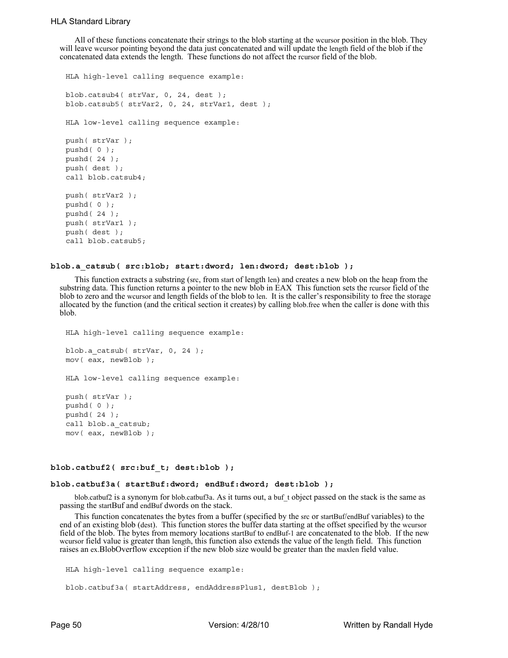All of these functions concatenate their strings to the blob starting at the wcursor position in the blob. They will leave wcursor pointing beyond the data just concatenated and will update the length field of the blob if the concatenated data extends the length. These functions do not affect the rcursor field of the blob.

```
HLA high-level calling sequence example:
blob.catsub4( strVar, 0, 24, dest );
blob.catsub5( strVar2, 0, 24, strVar1, dest );
HLA low-level calling sequence example:
push( strVar );
pushd( 0 );
pushd( 24 );
push( dest );
call blob.catsub4;
push( strVar2 );
pushd( 0 );
pushd( 24 );
push( strVar1 );
push( dest );
call blob.catsub5;
```
#### **blob.a\_catsub( src:blob; start:dword; len:dword; dest:blob );**

This function extracts a substring (src, from start of length len) and creates a new blob on the heap from the substring data. This function returns a pointer to the new blob in EAX This function sets the rcursor field of the blob to zero and the wcursor and length fields of the blob to len. It is the caller's responsibility to free the storage allocated by the function (and the critical section it creates) by calling blob.free when the caller is done with this blob.

```
HLA high-level calling sequence example:
blob.a_catsub( strVar, 0, 24 );
mov( eax, newBlob );
HLA low-level calling sequence example:
push( strVar );
pushd( 0 );
pushd( 24 );
call blob.a_catsub;
mov( eax, newBlob );
```
## **blob.catbuf2( src:buf\_t; dest:blob );**

### **blob.catbuf3a( startBuf:dword; endBuf:dword; dest:blob );**

blob.catbuf2 is a synonym for blob.catbuf3a. As it turns out, a buf\_t object passed on the stack is the same as passing the startBuf and endBuf dwords on the stack.

This function concatenates the bytes from a buffer (specified by the src or startBuf/endBuf variables) to the end of an existing blob (dest). This function stores the buffer data starting at the offset specified by the wcursor field of the blob. The bytes from memory locations startBuf to endBuf-1 are concatenated to the blob. If the new<br>weursor field value is greater than length, this function also extends the value of the length field. This fu raises an ex.BlobOverflow exception if the new blob size would be greater than the maxlen field value.

```
HLA high-level calling sequence example:
blob.catbuf3a( startAddress, endAddressPlus1, destBlob );
```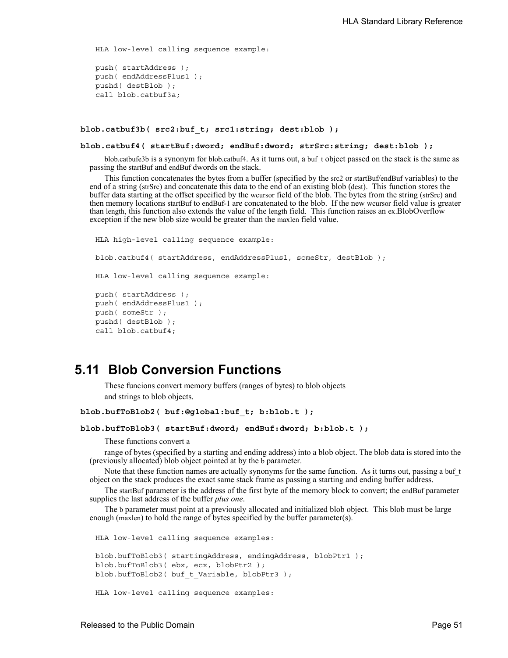HLA low-level calling sequence example:

```
push( startAddress );
push( endAddressPlus1 );
pushd( destBlob );
call blob.catbuf3a;
```
#### **blob.catbuf3b( src2:buf\_t; src1:string; dest:blob );**

#### **blob.catbuf4( startBuf:dword; endBuf:dword; strSrc:string; dest:blob );**

blob.catbufe3b is a synonym for blob.catbuf4. As it turns out, a buf\_t object passed on the stack is the same as passing the startBuf and endBuf dwords on the stack.

This function concatenates the bytes from a buffer (specified by the src2 or startBuf/endBuf variables) to the end of a string (strSrc) and concatenate this data to the end of an existing blob (dest). This function stores the buffer data starting at the offset specified by the wcursor field of the blob. The bytes from the string (strSrc) and then memory locations startBuf to endBuf-1 are concatenated to the blob. If the new wcursor field value is greater than length, this function also extends the value of the length field. This function raises an ex.BlobOverflow exception if the new blob size would be greater than the maxlen field value.

```
HLA high-level calling sequence example:
blob.catbuf4( startAddress, endAddressPlus1, someStr, destBlob );
HLA low-level calling sequence example:
push( startAddress );
push( endAddressPlus1 );
push( someStr );
pushd( destBlob );
call blob.catbuf4;
```
## **5.11 Blob Conversion Functions**

These funcions convert memory buffers (ranges of bytes) to blob objects and strings to blob objects.

```
blob.bufToBlob2( buf:@global:buf_t; b:blob.t );
```

```
blob.bufToBlob3( startBuf:dword; endBuf:dword; b:blob.t );
```
These functions convert a

range of bytes (specified by a starting and ending address) into a blob object. The blob data is stored into the (previously allocated) blob object pointed at by the b parameter.

Note that these function names are actually synonyms for the same function. As it turns out, passing a buf t object on the stack produces the exact same stack frame as passing a starting and ending buffer address.

The startBuf parameter is the address of the first byte of the memory block to convert; the endBuf parameter supplies the last address of the buffer *plus one*.

The b parameter must point at a previously allocated and initialized blob object. This blob must be large enough (maxlen) to hold the range of bytes specified by the buffer parameter(s).

HLA low-level calling sequence examples: blob.bufToBlob3( startingAddress, endingAddress, blobPtr1 ); blob.bufToBlob3( ebx, ecx, blobPtr2 );

```
blob.bufToBlob2( buf t Variable, blobPtr3 );
```

```
HLA low-level calling sequence examples:
```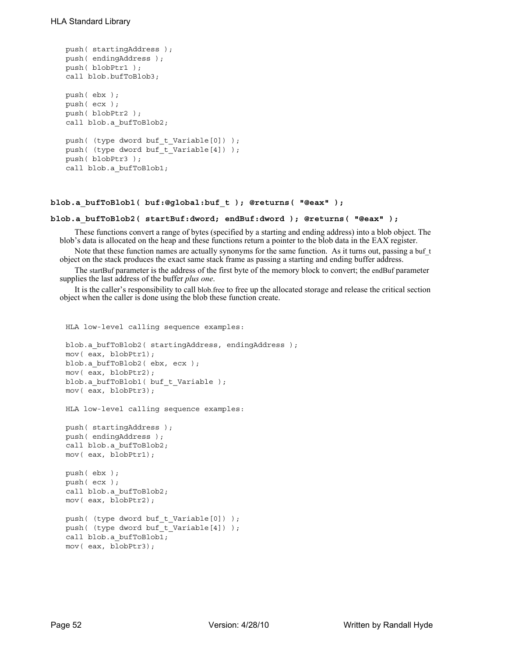```
push( startingAddress );
push( endingAddress );
push( blobPtr1 );
call blob.bufToBlob3;
push( ebx );
push( ecx );
push( blobPtr2 );
call blob.a bufToBlob2;
push( (type dword buf t Variable[0]) );
push( (type dword buf t Variable[4]) );
push( blobPtr3 );
call blob.a bufToBlob1;
```
HLA low-level calling sequence examples:

## **blob.a\_bufToBlob1( buf:@global:buf\_t ); @returns( "@eax" );**

#### **blob.a\_bufToBlob2( startBuf:dword; endBuf:dword ); @returns( "@eax" );**

These functions convert a range of bytes (specified by a starting and ending address) into a blob object. The blob's data is allocated on the heap and these functions return a pointer to the blob data in the EAX register.

Note that these function names are actually synonyms for the same function. As it turns out, passing a buf\_t object on the stack produces the exact same stack frame as passing a starting and ending buffer address.

The startBuf parameter is the address of the first byte of the memory block to convert; the endBuf parameter supplies the last address of the buffer *plus one*.

It is the caller's responsibility to call blob.free to free up the allocated storage and release the critical section object when the caller is done using the blob these function create.

```
blob.a bufToBlob2( startingAddress, endingAddress );
mov( eax, blobPtr1);
blob.a bufToBlob2( ebx, ecx );
mov( eax, blobPtr2);
blob.a bufToBlob1( buf t Variable );
mov( eax, blobPtr3);
HLA low-level calling sequence examples:
push( startingAddress );
push( endingAddress );
call blob.a_bufToBlob2;
mov( eax, blobPtr1);
push( ebx );
push( ecx );
call blob.a bufToBlob2;
mov( eax, blobPtr2);
push( (type dword buf_t_Variable[0]) );
push( (type dword buf_t_Variable[4]) );
call blob.a_bufToBlob1;
mov( eax, blobPtr3);
```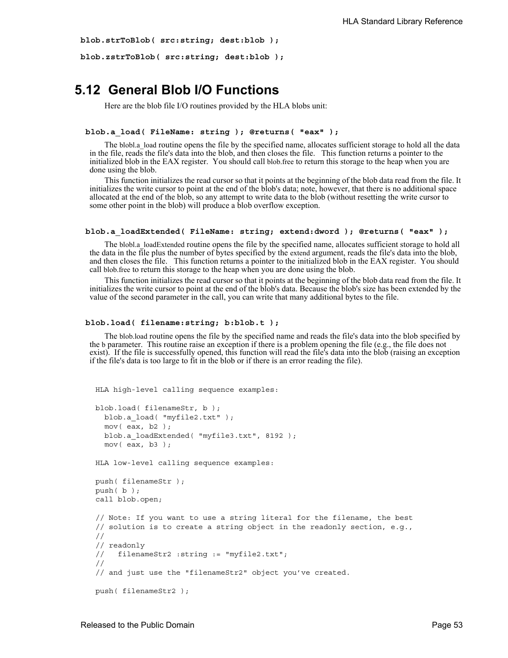```
blob.strToBlob( src:string; dest:blob );
```

```
blob.zstrToBlob( src:string; dest:blob );
```
## **5.12 General Blob I/O Functions**

Here are the blob file I/O routines provided by the HLA blobs unit:

#### **blob.a\_load( FileName: string ); @returns( "eax" );**

The blobl.a\_load routine opens the file by the specified name, allocates sufficient storage to hold all the data in the file, reads the file's data into the blob, and then closes the file. This function returns a pointer to the initialized blob in the EAX register. You should call blob.free to return this storage to the heap when you are done using the blob.

This function initializes the read cursor so that it points at the beginning of the blob data read from the file. It initializes the write cursor to point at the end of the blob's data; note, however, that there is no additional space allocated at the end of the blob, so any attempt to write data to the blob (without resetting the write cursor to some other point in the blob) will produce a blob overflow exception.

### **blob.a\_loadExtended( FileName: string; extend:dword ); @returns( "eax" );**

The blobl.a loadExtended routine opens the file by the specified name, allocates sufficient storage to hold all the data in the file plus the number of bytes specified by the extend argument, reads the file's data into the blob, and then closes the file. This function returns a pointer to the initialized blob in the EAX register. You should call blob.free to return this storage to the heap when you are done using the blob.

This function initializes the read cursor so that it points at the beginning of the blob data read from the file. It initializes the write cursor to point at the end of the blob's data. Because the blob's size has been extended by the value of the second parameter in the call, you can write that many additional bytes to the file.

#### **blob.load( filename:string; b:blob.t );**

The blob.load routine opens the file by the specified name and reads the file's data into the blob specified by the b parameter. This routine raise an exception if there is a problem opening the file (e.g., the file does not exist). If the file is successfully opened, this function will read the file's data into the blob (raising an exception if the file's data is too large to fit in the blob or if there is an error reading the file).

```
HLA high-level calling sequence examples:
```

```
blob.load( filenameStr, b );
 blob.a_load( "myfile2.txt" );
 mov( eax, b2 );
 blob.a loadExtended( "myfile3.txt", 8192 );
 mov( eax, b3 );
HLA low-level calling sequence examples:
push( filenameStr );
push( b );
call blob.open;
// Note: If you want to use a string literal for the filename, the best 
// solution is to create a string object in the readonly section, e.g.,
//
// readonly
// filenameStr2 :string := "myfile2.txt";
//
// and just use the "filenameStr2" object you've created. 
push( filenameStr2 );
```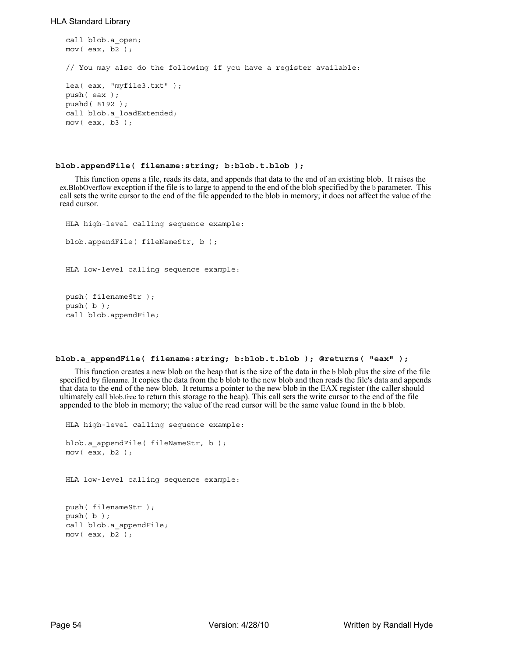## HLA Standard Library

```
call blob.a_open;
mov( eax, b2 );
// You may also do the following if you have a register available:
lea( eax, "myfile3.txt" );
push( eax );
pushd( 8192 );
call blob.a loadExtended;
mov( eax, b3 );
```
### **blob.appendFile( filename:string; b:blob.t.blob );**

This function opens a file, reads its data, and appends that data to the end of an existing blob. It raises the ex.BlobOverflow exception if the file is to large to append to the end of the blob specified by the b parameter. This call sets the write cursor to the end of the file appended to the blob in memory; it does not affect the value of the read cursor.

```
HLA high-level calling sequence example:
blob.appendFile( fileNameStr, b );
HLA low-level calling sequence example:
push( filenameStr );
push( b );
```
call blob.appendFile;

## **blob.a\_appendFile( filename:string; b:blob.t.blob ); @returns( "eax" );**

This function creates a new blob on the heap that is the size of the data in the b blob plus the size of the file specified by filename. It copies the data from the b blob to the new blob and then reads the file's data and appends that data to the end of the new blob. It returns a pointer to the new blob in the EAX register (the caller should ultimately call blob.free to return this storage to the heap). This call sets the write cursor to the end of the file appended to the blob in memory; the value of the read cursor will be the same value found in the b blob.

```
HLA high-level calling sequence example:
blob.a_appendFile( fileNameStr, b );
mov( eax, b2 );
HLA low-level calling sequence example:
push( filenameStr );
push( b );
call blob.a_appendFile;
mov( eax, b2 );
```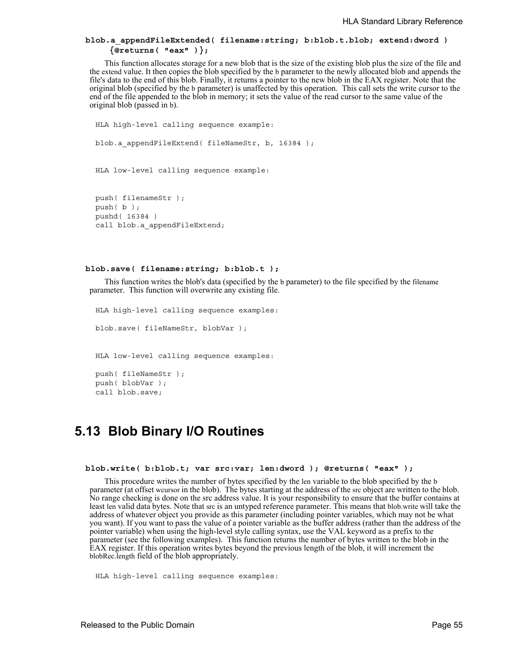## **blob.a\_appendFileExtended( filename:string; b:blob.t.blob; extend:dword ) {@returns( "eax" )};**

This function allocates storage for a new blob that is the size of the existing blob plus the size of the file and the extend value. It then copies the blob specified by the b parameter to the newly allocated blob and appends the file's data to the end of this blob. Finally, it returns a pointer to the new blob in the EAX register. Note that the original blob (specified by the b parameter) is unaffected by this operation. This call sets the write cursor to the end of the file appended to the blob in memory; it sets the value of the read cursor to the same value of the original blob (passed in b).

```
HLA high-level calling sequence example:
blob.a appendFileExtend( fileNameStr, b, 16384 );
HLA low-level calling sequence example:
push( filenameStr );
```
push( b ); pushd( 16384 ) call blob.a appendFileExtend;

#### **blob.save( filename:string; b:blob.t );**

This function writes the blob's data (specified by the b parameter) to the file specified by the filename parameter. This function will overwrite any existing file.

```
HLA high-level calling sequence examples:
blob.save( fileNameStr, blobVar );
HLA low-level calling sequence examples:
push( fileNameStr );
push( blobVar );
call blob.save;
```
## **5.13 Blob Binary I/O Routines**

```
 blob.write( b:blob.t; var src:var; len:dword ); @returns( "eax" );
```
This procedure writes the number of bytes specified by the len variable to the blob specified by the b parameter (at offset wcursor in the blob). The bytes starting at the address of the src object are written to the blob. No range checking is done on the src address value. It is your responsibility to ensure that the buffer contains at least len valid data bytes. Note that src is an untyped reference parameter. This means that blob.write will take the address of whatever object you provide as this parameter (including pointer variables, which may not be what you want). If you want to pass the value of a pointer variable as the buffer address (rather than the address of the pointer variable) when using the high-level style calling syntax, use the VAL keyword as a prefix to the parameter (see the following examples). This function returns the number of bytes written to the blob in the EAX register. If this operation writes bytes beyond the previous length of the blob, it will increment the blobRec.length field of the blob appropriately.

HLA high-level calling sequence examples: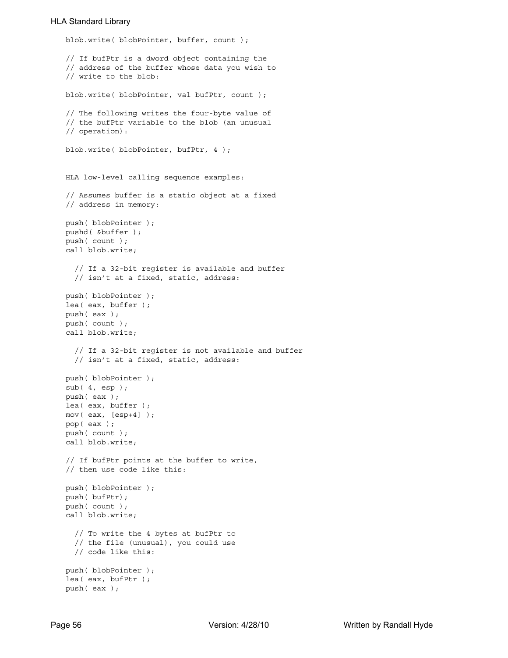## HLA Standard Library

```
blob.write( blobPointer, buffer, count );
// If bufPtr is a dword object containing the
// address of the buffer whose data you wish to
// write to the blob:
blob.write( blobPointer, val bufPtr, count );
// The following writes the four-byte value of
// the bufPtr variable to the blob (an unusual
// operation):
blob.write( blobPointer, bufPtr, 4 );
HLA low-level calling sequence examples:
// Assumes buffer is a static object at a fixed
// address in memory:
push( blobPointer );
pushd( &buffer );
push( count );
call blob.write;
  // If a 32-bit register is available and buffer
  // isn't at a fixed, static, address:
push( blobPointer );
lea( eax, buffer );
push( eax );
push( count );
call blob.write;
  // If a 32-bit register is not available and buffer
  // isn't at a fixed, static, address:
push( blobPointer );
sub( 4, esp );
push( eax );
lea( eax, buffer );
mov( eax, [esp+4] );
pop( eax );
push( count );
call blob.write;
// If bufPtr points at the buffer to write,
// then use code like this:
push( blobPointer );
push( bufPtr);
push( count );
call blob.write;
  // To write the 4 bytes at bufPtr to
  // the file (unusual), you could use
  // code like this:
push( blobPointer );
lea( eax, bufPtr );
push( eax );
```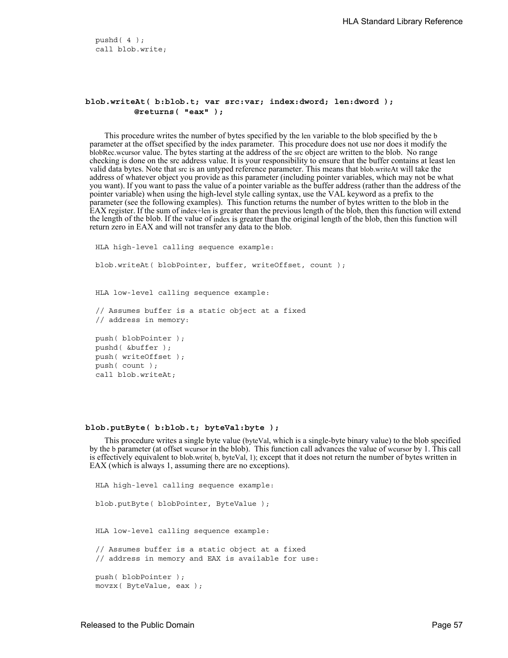pushd( 4 ); call blob.write;

## **blob.writeAt( b:blob.t; var src:var; index:dword; len:dword ); @returns( "eax" );**

This procedure writes the number of bytes specified by the len variable to the blob specified by the b parameter at the offset specified by the index parameter. This procedure does not use nor does it modify the blobRec.wcursor value. The bytes starting at the address of the src object are written to the blob. No range checking is done on the src address value. It is your responsibility to ensure that the buffer contains at least len valid data bytes. Note that src is an untyped reference parameter. This means that blob.writeAt will take the address of whatever object you provide as this parameter (including pointer variables, which may not be what you want). If you want to pass the value of a pointer variable as the buffer address (rather than the address of the pointer variable) when using the high-level style calling syntax, use the VAL keyword as a prefix to the parameter (see the following examples). This function returns the number of bytes written to the blob in the EAX register. If the sum of index+len is greater than the previous length of the blob, then this function will extend the length of the blob. If the value of index is greater than the original length of the blob, then this function will return zero in EAX and will not transfer any data to the blob.

HLA high-level calling sequence example: blob.writeAt( blobPointer, buffer, writeOffset, count ); HLA low-level calling sequence example: // Assumes buffer is a static object at a fixed // address in memory: push( blobPointer ); pushd( &buffer ); push( writeOffset ); push( count ); call blob.writeAt;

#### **blob.putByte( b:blob.t; byteVal:byte );**

This procedure writes a single byte value (byteVal, which is a single-byte binary value) to the blob specified by the b parameter (at offset wcursor in the blob). This function call advances the value of wcursor by 1. This call is effectively equivalent to blob.write( b, byteVal, 1); except that it does not return the number of bytes written in EAX (which is always 1, assuming there are no exceptions).

HLA high-level calling sequence example: blob.putByte( blobPointer, ByteValue ); HLA low-level calling sequence example: // Assumes buffer is a static object at a fixed // address in memory and EAX is available for use: push( blobPointer ); movzx( ByteValue, eax );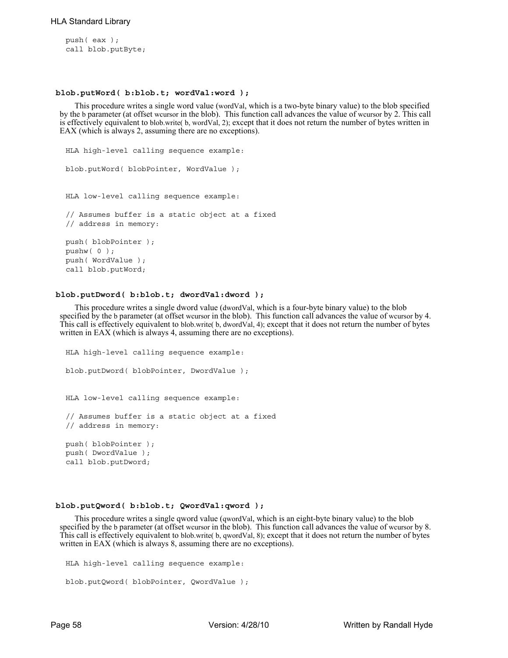push( eax ); call blob.putByte;

#### **blob.putWord( b:blob.t; wordVal:word );**

This procedure writes a single word value (wordVal, which is a two-byte binary value) to the blob specified by the b parameter (at offset wcursor in the blob). This function call advances the value of wcursor by 2. This call is effectively equivalent to blob.write( b, wordVal, 2); except that it does not return the number of bytes written in EAX (which is always 2, assuming there are no exceptions).

```
HLA high-level calling sequence example:
blob.putWord( blobPointer, WordValue );
HLA low-level calling sequence example:
// Assumes buffer is a static object at a fixed
// address in memory:
push( blobPointer );
pushw( 0 );
push( WordValue );
call blob.putWord;
```
### **blob.putDword( b:blob.t; dwordVal:dword );**

This procedure writes a single dword value (dwordVal, which is a four-byte binary value) to the blob specified by the b parameter (at offset wcursor in the blob). This function call advances the value of wcursor by 4. This call is effectively equivalent to blob.write( b, dwordVal, 4); except that it does not return the number of bytes written in EAX (which is always 4, assuming there are no exceptions).

```
HLA high-level calling sequence example:
blob.putDword( blobPointer, DwordValue );
HLA low-level calling sequence example:
// Assumes buffer is a static object at a fixed
// address in memory:
push( blobPointer );
push( DwordValue );
call blob.putDword;
```
## **blob.putQword( b:blob.t; QwordVal:qword );**

This procedure writes a single qword value (qwordVal, which is an eight-byte binary value) to the blob specified by the b parameter (at offset wcursor in the blob). This function call advances the value of wcursor by 8. This call is effectively equivalent to blob.write( b, qwordVal, 8); except that it does not return the number of bytes written in EAX (which is always 8, assuming there are no exceptions).

```
HLA high-level calling sequence example:
blob.putQword( blobPointer, QwordValue );
```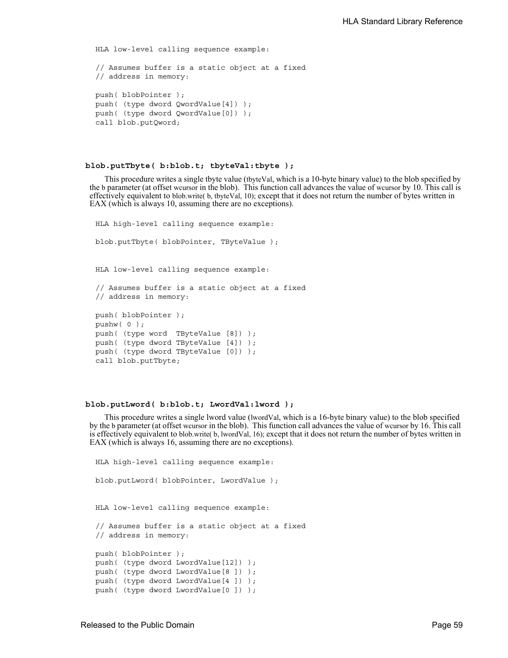```
HLA low-level calling sequence example:
// Assumes buffer is a static object at a fixed
// address in memory:
push( blobPointer );
push( (type dword QwordValue[4]) );
push( (type dword QwordValue[0]) );
call blob.putQword;
```
#### **blob.putTbyte( b:blob.t; tbyteVal:tbyte );**

This procedure writes a single tbyte value (tbyteVal, which is a 10-byte binary value) to the blob specified by the b parameter (at offset wcursor in the blob). This function call advances the value of wcursor by 10. This call is effectively equivalent to blob.write( b, tbyteVal, 10); except that it does not return the number of bytes written in EAX (which is always 10, assuming there are no exceptions).

```
HLA high-level calling sequence example:
blob.putTbyte( blobPointer, TByteValue );
HLA low-level calling sequence example:
// Assumes buffer is a static object at a fixed
// address in memory:
push( blobPointer );
pushw( 0 );
push( (type word TByteValue [8]) );
push( (type dword TByteValue [4]) );
push( (type dword TByteValue [0]) );
call blob.putTbyte;
```
#### **blob.putLword( b:blob.t; LwordVal:lword );**

This procedure writes a single lword value (lwordVal, which is a 16-byte binary value) to the blob specified by the b parameter (at offset wcursor in the blob). This function call advances the value of wcursor by 16. This call is effectively equivalent to blob.write( b, lwordVal, 16); except that it does not return the number of bytes written in EAX (which is always 16, assuming there are no exceptions).

```
HLA high-level calling sequence example:
blob.putLword( blobPointer, LwordValue );
HLA low-level calling sequence example:
// Assumes buffer is a static object at a fixed
// address in memory:
push( blobPointer );
push( (type dword LwordValue[12]) );
push( (type dword LwordValue[8 ]) );
push( (type dword LwordValue[4 ]) );
push( (type dword LwordValue[0 ]) );
```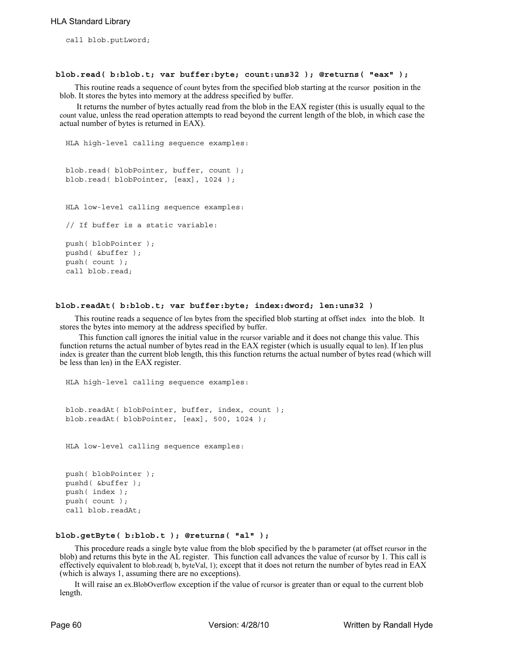call blob.putLword;

#### **blob.read( b:blob.t; var buffer:byte; count:uns32 ); @returns( "eax" );**

This routine reads a sequence of count bytes from the specified blob starting at the rcursor position in the blob. It stores the bytes into memory at the address specified by buffer.

 It returns the number of bytes actually read from the blob in the EAX register (this is usually equal to the count value, unless the read operation attempts to read beyond the current length of the blob, in which case the actual number of bytes is returned in EAX).

```
HLA high-level calling sequence examples:
blob.read( blobPointer, buffer, count );
blob.read( blobPointer, [eax], 1024 );
HLA low-level calling sequence examples:
// If buffer is a static variable:
push( blobPointer );
pushd( &buffer );
push( count );
call blob.read;
```
#### **blob.readAt( b:blob.t; var buffer:byte; index:dword; len:uns32 )**

This routine reads a sequence of len bytes from the specified blob starting at offset index into the blob. It stores the bytes into memory at the address specified by buffer.

 This function call ignores the initial value in the rcursor variable and it does not change this value. This function returns the actual number of bytes read in the EAX register (which is usually equal to len). If len plus index is greater than the current blob length, this this function returns the actual number of bytes read (which will be less than len) in the EAX register.

HLA high-level calling sequence examples:

blob.readAt( blobPointer, buffer, index, count ); blob.readAt( blobPointer, [eax], 500, 1024 );

HLA low-level calling sequence examples:

push( blobPointer ); pushd( &buffer ); push( index ); push( count ); call blob.readAt;

## **blob.getByte( b:blob.t ); @returns( "al" );**

This procedure reads a single byte value from the blob specified by the b parameter (at offset rcursor in the blob) and returns this byte in the AL register. This function call advances the value of rcursor by 1. This call is effectively equivalent to blob.read( b, byteVal, 1); except that it does not return the number of bytes read in EAX (which is always 1, assuming there are no exceptions).

It will raise an ex.BlobOverflow exception if the value of rcursor is greater than or equal to the current blob length.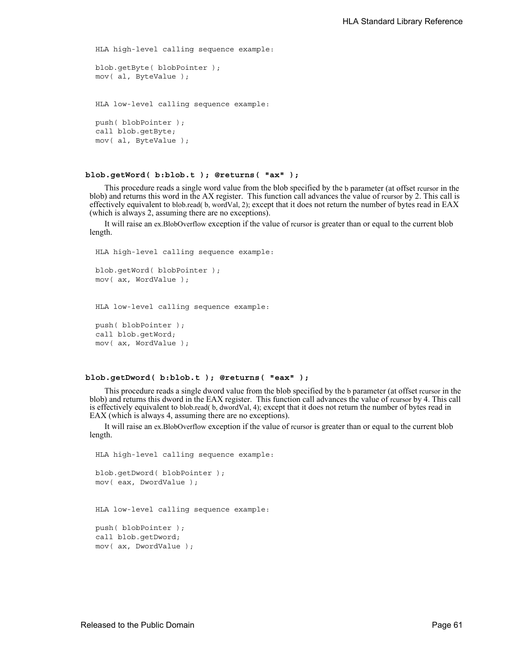```
HLA high-level calling sequence example:
blob.getByte( blobPointer );
mov( al, ByteValue );
HLA low-level calling sequence example:
push( blobPointer );
call blob.getByte;
mov( al, ByteValue );
```
#### **blob.getWord( b:blob.t ); @returns( "ax" );**

This procedure reads a single word value from the blob specified by the b parameter (at offset rcursor in the blob) and returns this word in the AX register. This function call advances the value of rcursor by 2. This call is effectively equivalent to blob.read( b, wordVal, 2); except that it does not return the number of bytes read in EAX (which is always 2, assuming there are no exceptions).

It will raise an ex.BlobOverflow exception if the value of rcursor is greater than or equal to the current blob length.

HLA high-level calling sequence example:

```
blob.getWord( blobPointer );
mov( ax, WordValue );
```
HLA low-level calling sequence example:

```
push( blobPointer );
call blob.getWord;
mov( ax, WordValue );
```
#### **blob.getDword( b:blob.t ); @returns( "eax" );**

This procedure reads a single dword value from the blob specified by the b parameter (at offset rcursor in the blob) and returns this dword in the EAX register. This function call advances the value of rcursor by 4. This call is effectively equivalent to blob.read( b, dwordVal, 4); except that it does not return the number of bytes read in EAX (which is always 4, assuming there are no exceptions).

It will raise an ex.BlobOverflow exception if the value of rcursor is greater than or equal to the current blob length.

```
HLA high-level calling sequence example:
blob.getDword( blobPointer );
mov( eax, DwordValue );
HLA low-level calling sequence example:
push( blobPointer );
call blob.getDword;
mov( ax, DwordValue );
```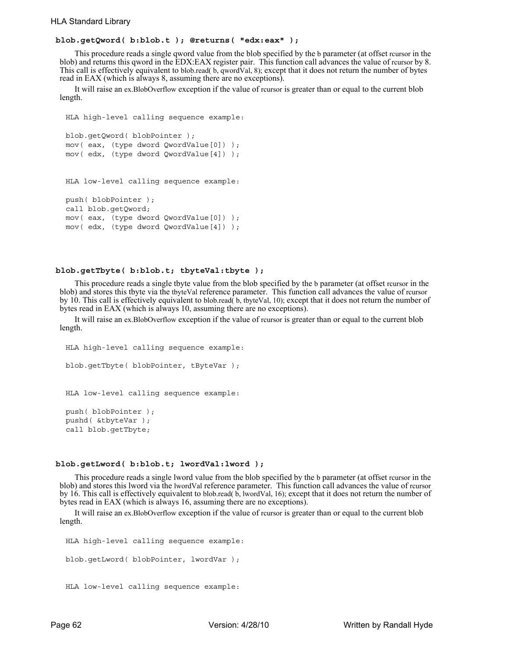## **blob.getQword( b:blob.t ); @returns( "edx:eax" );**

This procedure reads a single qword value from the blob specified by the b parameter (at offset rcursor in the blob) and returns this qword in the EDX:EAX register pair. This function call advances the value of rcursor by 8. This call is effectively equivalent to blob.read( b, qwordVal, 8); except that it does not return the number of bytes read in EAX (which is always 8, assuming there are no exceptions).

It will raise an ex.BlobOverflow exception if the value of rcursor is greater than or equal to the current blob length.

```
HLA high-level calling sequence example:
blob.getQword( blobPointer );
mov( eax, (type dword QwordValue[0]) );
mov( edx, (type dword QwordValue[4]) );
HLA low-level calling sequence example:
push( blobPointer );
call blob.getQword;
mov( eax, (type dword QwordValue[0]) );
mov( edx, (type dword QwordValue[4]) );
```
## **blob.getTbyte( b:blob.t; tbyteVal:tbyte );**

This procedure reads a single tbyte value from the blob specified by the b parameter (at offset rcursor in the blob) and stores this tbyte via the tbyteVal reference parameter. This function call advances the value of rcursor by 10. This call is effectively equivalent to blob.read( b, tbyteVal, 10); except that it does not return the number of bytes read in EAX (which is always 10, assuming there are no exceptions).

It will raise an ex.BlobOverflow exception if the value of rcursor is greater than or equal to the current blob length.

```
HLA high-level calling sequence example:
blob.getTbyte( blobPointer, tByteVar );
HLA low-level calling sequence example:
push( blobPointer );
pushd( &tbyteVar );
call blob.getTbyte;
```
#### **blob.getLword( b:blob.t; lwordVal:lword );**

This procedure reads a single lword value from the blob specified by the b parameter (at offset rcursor in the blob) and stores this lword via the lwordVal reference parameter. This function call advances the value of rcursor by 16. This call is effectively equivalent to blob.read( b, lwordVal, 16); except that it does not return the number of bytes read in EAX (which is always 16, assuming there are no exceptions).

It will raise an ex.BlobOverflow exception if the value of rcursor is greater than or equal to the current blob length.

```
HLA high-level calling sequence example:
blob.getLword( blobPointer, lwordVar );
HLA low-level calling sequence example:
```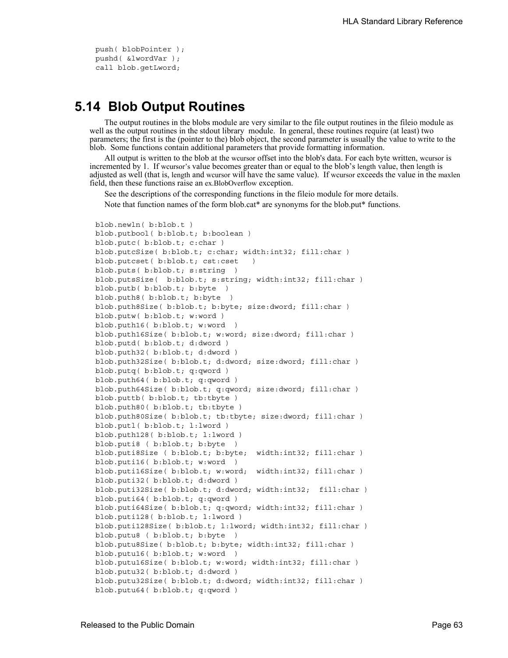push( blobPointer ); pushd( &lwordVar ); call blob.getLword;

## **5.14 Blob Output Routines**

The output routines in the blobs module are very similar to the file output routines in the fileio module as well as the output routines in the stdout library module. In general, these routines require (at least) two parameters; the first is the (pointer to the) blob object, the second parameter is usually the value to write to the blob. Some functions contain additional parameters that provide formatting information.

All output is written to the blob at the wcursor offset into the blob's data. For each byte written, wcursor is incremented by 1. If wcursor's value becomes greater than or equal to the blob's length value, then length is adjusted as well (that is, length and wcursor will have the same value). If wcursor exceeds the value in the maxlen field, then these functions raise an ex.BlobOverflow exception.

See the descriptions of the corresponding functions in the fileio module for more details. Note that function names of the form blob.cat\* are synonyms for the blob.put\* functions.

```
blob.newln( b:blob.t )
blob.putbool( b:blob.t; b:boolean )
blob.putc( b:blob.t; c:char )
blob.putcSize( b:blob.t; c:char; width:int32; fill:char )
blob.putcset( b:blob.t; cst:cset )
blob.puts( b:blob.t; s:string )
blob.putsSize( b:blob.t; s:string; width:int32; fill:char )
blob.putb( b:blob.t; b:byte )
blob.puth8( b:blob.t; b:byte )
blob.puth8Size( b:blob.t; b:byte; size:dword; fill:char )
blob.putw( b:blob.t; w:word )
blob.puth16( b:blob.t; w:word )
blob.puth16Size( b:blob.t; w:word; size:dword; fill:char )
blob.putd( b:blob.t; d:dword )
blob.puth32( b:blob.t; d:dword )
blob.puth32Size( b:blob.t; d:dword; size:dword; fill:char )
blob.putq( b:blob.t; q:qword )
blob.puth64( b:blob.t; q:qword )
blob.puth64Size( b:blob.t; q:qword; size:dword; fill:char )
blob.puttb( b:blob.t; tb:tbyte )
blob.puth80( b:blob.t; tb:tbyte )
blob.puth80Size( b:blob.t; tb:tbyte; size:dword; fill:char )
blob.putl( b:blob.t; l:lword )
blob.puth128( b:blob.t; l:lword )
blob.puti8 ( b:blob.t; b:byte )
blob.puti8Size ( b:blob.t; b:byte; width:int32; fill:char )
blob.puti16( b:blob.t; w:word )
blob.puti16Size( b:blob.t; w:word; width:int32; fill:char )
blob.puti32( b:blob.t; d:dword )
blob.puti32Size( b:blob.t; d:dword; width:int32; fill:char )
blob.puti64( b:blob.t; q:qword )
blob.puti64Size( b:blob.t; q:qword; width:int32; fill:char )
blob.puti128( b:blob.t; l:lword )
blob.puti128Size( b:blob.t; l:lword; width:int32; fill:char )
blob.putu8 ( b:blob.t; b:byte )
blob.putu8Size( b:blob.t; b:byte; width:int32; fill:char )
blob.putu16( b:blob.t; w:word )
blob.putu16Size( b:blob.t; w:word; width:int32; fill:char )
blob.putu32( b:blob.t; d:dword )
blob.putu32Size( b:blob.t; d:dword; width:int32; fill:char )
blob.putu64( b:blob.t; q:qword )
```